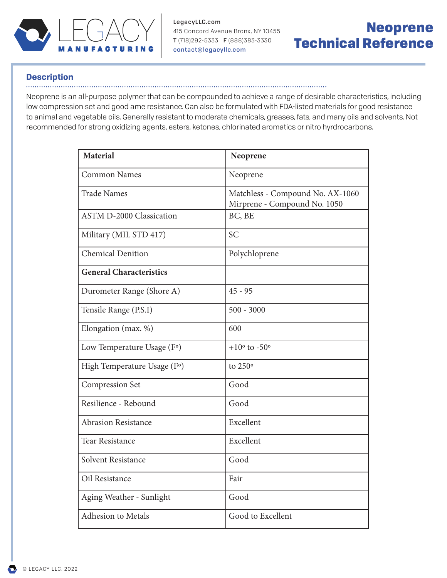

415 Concord Avenue Bronx, NY 10455 T (718)292-5333 F (888)383-3330 LegacyLLC.com contact@legacyllc.com

# Neoprene Technical Reference

### **Description**

#### .......

Neoprene is an all-purpose polymer that can be compounded to achieve a range of desirable characteristics, including low compression set and good ame resistance. Can also be formulated with FDA-listed materials for good resistance to animal and vegetable oils. Generally resistant to moderate chemicals, greases, fats, and many oils and solvents. Not recommended for strong oxidizing agents, esters, ketones, chlorinated aromatics or nitro hyrdrocarbons.

| <b>Material</b>                 | Neoprene                                                         |
|---------------------------------|------------------------------------------------------------------|
| <b>Common Names</b>             | Neoprene                                                         |
| <b>Trade Names</b>              | Matchless - Compound No. AX-1060<br>Mirprene - Compound No. 1050 |
| <b>ASTM D-2000 Classication</b> | BC, BE                                                           |
| Military (MIL STD 417)          | <b>SC</b>                                                        |
| <b>Chemical Denition</b>        | Polychloprene                                                    |
| <b>General Characteristics</b>  |                                                                  |
| Durometer Range (Shore A)       | $45 - 95$                                                        |
| Tensile Range (P.S.I)           | $500 - 3000$                                                     |
| Elongation (max. %)             | 600                                                              |
| Low Temperature Usage (F°)      | $+10^{\circ}$ to $-50^{\circ}$                                   |
| High Temperature Usage (F°)     | to 250°                                                          |
| <b>Compression Set</b>          | Good                                                             |
| Resilience - Rebound            | Good                                                             |
| <b>Abrasion Resistance</b>      | Excellent                                                        |
| <b>Tear Resistance</b>          | Excellent                                                        |
| Solvent Resistance              | Good                                                             |
| Oil Resistance                  | Fair                                                             |
| Aging Weather - Sunlight        | Good                                                             |
| <b>Adhesion to Metals</b>       | Good to Excellent                                                |